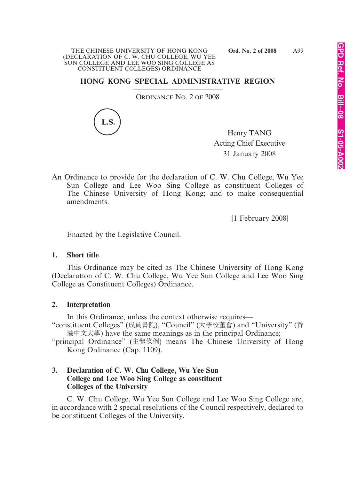#### THE CHINESE UNIVERSITY OF HONG KONG **Ord. No. 2 of 2008** (DECLARATION OF C. W. CHU COLLEGE, WU YEE SUN COLLEGE AND LEE WOO SING COLLEGE AS CONSTITUENT COLLEGES) ORDINANCE

# **HONG KONG SPECIAL ADMINISTRATIVE REGION**

ORDINANCE NO. 2 OF 2008



Henry TANG Acting Chief Executive 31 January 2008

An Ordinance to provide for the declaration of C. W. Chu College, Wu Yee Sun College and Lee Woo Sing College as constituent Colleges of The Chinese University of Hong Kong; and to make consequential amendments.

[1 February 2008]

Enacted by the Legislative Council.

# **1. Short title**

This Ordinance may be cited as The Chinese University of Hong Kong (Declaration of C. W. Chu College, Wu Yee Sun College and Lee Woo Sing College as Constituent Colleges) Ordinance.

# **2. Interpretation**

In this Ordinance, unless the context otherwise requires—

"constituent Colleges" (成員書院), "Council" (大學校董會) and "University" (香 港中文大學) have the same meanings as in the principal Ordinance;

"principal Ordinance" (主體條例) means The Chinese University of Hong Kong Ordinance (Cap. 1109).

# **3. Declaration of C. W. Chu College, Wu Yee Sun College and Lee Woo Sing College as constituent Colleges of the University**

C. W. Chu College, Wu Yee Sun College and Lee Woo Sing College are, in accordance with 2 special resolutions of the Council respectively, declared to be constituent Colleges of the University.

A99